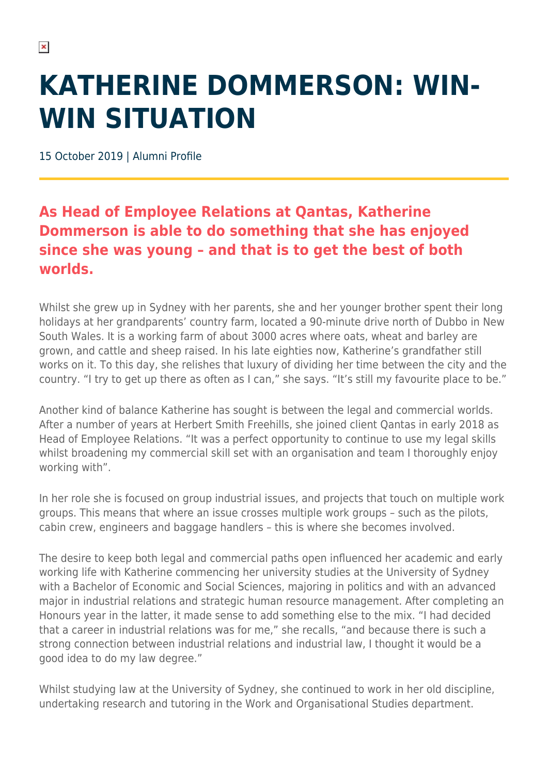## **KATHERINE DOMMERSON: WIN-WIN SITUATION**

15 October 2019 | Alumni Profile

## **As Head of Employee Relations at Qantas, Katherine Dommerson is able to do something that she has enjoyed since she was young – and that is to get the best of both worlds.**

Whilst she grew up in Sydney with her parents, she and her younger brother spent their long holidays at her grandparents' country farm, located a 90-minute drive north of Dubbo in New South Wales. It is a working farm of about 3000 acres where oats, wheat and barley are grown, and cattle and sheep raised. In his late eighties now, Katherine's grandfather still works on it. To this day, she relishes that luxury of dividing her time between the city and the country. "I try to get up there as often as I can," she says. "It's still my favourite place to be."

Another kind of balance Katherine has sought is between the legal and commercial worlds. After a number of years at Herbert Smith Freehills, she joined client Qantas in early 2018 as Head of Employee Relations. "It was a perfect opportunity to continue to use my legal skills whilst broadening my commercial skill set with an organisation and team I thoroughly enjoy working with".

In her role she is focused on group industrial issues, and projects that touch on multiple work groups. This means that where an issue crosses multiple work groups – such as the pilots, cabin crew, engineers and baggage handlers – this is where she becomes involved.

The desire to keep both legal and commercial paths open influenced her academic and early working life with Katherine commencing her university studies at the University of Sydney with a Bachelor of Economic and Social Sciences, majoring in politics and with an advanced major in industrial relations and strategic human resource management. After completing an Honours year in the latter, it made sense to add something else to the mix. "I had decided that a career in industrial relations was for me," she recalls, "and because there is such a strong connection between industrial relations and industrial law, I thought it would be a good idea to do my law degree."

Whilst studying law at the University of Sydney, she continued to work in her old discipline, undertaking research and tutoring in the Work and Organisational Studies department.